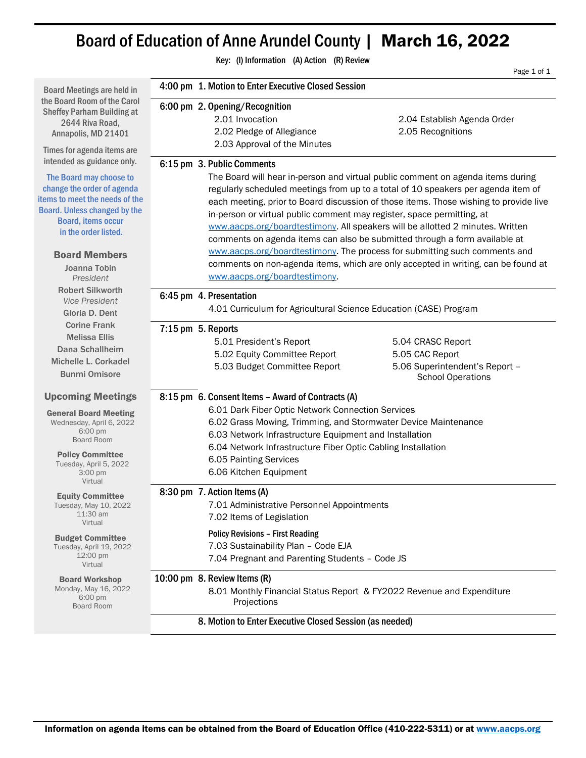## Board of Education of Anne Arundel County | March 16, 2022

Key: (I) Information (A) Action (R) Review Page 1 of 1 Board Meetings are held in the Board Room of the Carol Sheffey Parham Building at 2644 Riva Road, Annapolis, MD 21401 Times for agenda items are intended as guidance only. The Board may choose to change the order of agenda items to meet the needs of the Board. Unless changed by the Board, items occur in the order listed. Board Members Joanna Tobin *President* Robert Silkworth *Vice President* Gloria D. Dent Corine Frank Melissa Ellis Dana Schallheim Michelle L. Corkadel Bunmi Omisore Upcoming Meetings General Board Meeting Wednesday, April 6, 2022 6:00 pm Board Room Policy Committee Tuesday, April 5, 2022 3:00 pm Virtual Equity Committee Tuesday, May 10, 2022 11:30 am Virtual Budget Committee Tuesday, April 19, 2022 12:00 pm Virtual Board Workshop Monday, May 16, 2022 6:00 pm Board Room 4:00 pm 1. Motion to Enter Executive Closed Session 6:00 pm 2. Opening/Recognition 2.01 Invocation 2.04 Establish Agenda Order 2.02 Pledge of Allegiance 2.05 Recognitions 2.03 Approval of the Minutes 6:15 pm 3. Public Comments The Board will hear in-person and virtual public comment on agenda items during regularly scheduled meetings from up to a total of 10 speakers per agenda item of each meeting, prior to Board discussion of those items. Those wishing to provide live in-person or virtual public comment may register, space permitting, at [www.aacps.org/boardtestimony.](http://www.aacps.org/boardtestimony) All speakers will be allotted 2 minutes. Written comments on agenda items can also be submitted through a form available at [www.aacps.org/boardtestimony.](http://www.aacps.org/boardtestimony) The process for submitting such comments and comments on non-agenda items, which are only accepted in writing, can be found at [www.aacps.org/boardtestimony.](http://www.aacps.org/boardtestimony) 6:45 pm 4. Presentation 4.01 Curriculum for Agricultural Science Education (CASE) Program 7:15 pm 5. Reports 5.01 President's Report 5.04 CRASC Report 5.02 Equity Committee Report 5.05 CAC Report 5.03 Budget Committee Report 5.06 Superintendent's Report – School Operations 8:15 pm 6. Consent Items – Award of Contracts (A) 6.01 Dark Fiber Optic Network Connection Services 6.02 Grass Mowing, Trimming, and Stormwater Device Maintenance 6.03 Network Infrastructure Equipment and Installation 6.04 Network Infrastructure Fiber Optic Cabling Installation 6.05 Painting Services 6.06 Kitchen Equipment 8:30 pm 7. Action Items (A) 7.01 Administrative Personnel Appointments 7.02 Items of Legislation Policy Revisions – First Reading 7.03 Sustainability Plan – Code EJA 7.04 Pregnant and Parenting Students – Code JS 10:00 pm 8. Review Items (R) 8.01 Monthly Financial Status Report & FY2022 Revenue and Expenditure Projections 8. Motion to Enter Executive Closed Session (as needed)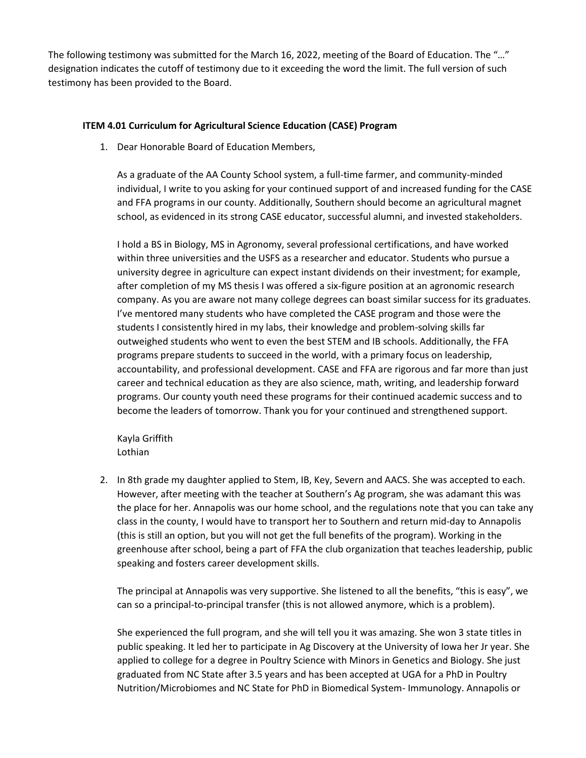The following testimony was submitted for the March 16, 2022, meeting of the Board of Education. The "…" designation indicates the cutoff of testimony due to it exceeding the word the limit. The full version of such testimony has been provided to the Board.

## **ITEM 4.01 Curriculum for Agricultural Science Education (CASE) Program**

1. Dear Honorable Board of Education Members,

As a graduate of the AA County School system, a full-time farmer, and community-minded individual, I write to you asking for your continued support of and increased funding for the CASE and FFA programs in our county. Additionally, Southern should become an agricultural magnet school, as evidenced in its strong CASE educator, successful alumni, and invested stakeholders.

I hold a BS in Biology, MS in Agronomy, several professional certifications, and have worked within three universities and the USFS as a researcher and educator. Students who pursue a university degree in agriculture can expect instant dividends on their investment; for example, after completion of my MS thesis I was offered a six-figure position at an agronomic research company. As you are aware not many college degrees can boast similar success for its graduates. I've mentored many students who have completed the CASE program and those were the students I consistently hired in my labs, their knowledge and problem-solving skills far outweighed students who went to even the best STEM and IB schools. Additionally, the FFA programs prepare students to succeed in the world, with a primary focus on leadership, accountability, and professional development. CASE and FFA are rigorous and far more than just career and technical education as they are also science, math, writing, and leadership forward programs. Our county youth need these programs for their continued academic success and to become the leaders of tomorrow. Thank you for your continued and strengthened support.

Kayla Griffith Lothian

2. In 8th grade my daughter applied to Stem, IB, Key, Severn and AACS. She was accepted to each. However, after meeting with the teacher at Southern's Ag program, she was adamant this was the place for her. Annapolis was our home school, and the regulations note that you can take any class in the county, I would have to transport her to Southern and return mid-day to Annapolis (this is still an option, but you will not get the full benefits of the program). Working in the greenhouse after school, being a part of FFA the club organization that teaches leadership, public speaking and fosters career development skills.

The principal at Annapolis was very supportive. She listened to all the benefits, "this is easy", we can so a principal-to-principal transfer (this is not allowed anymore, which is a problem).

She experienced the full program, and she will tell you it was amazing. She won 3 state titles in public speaking. It led her to participate in Ag Discovery at the University of Iowa her Jr year. She applied to college for a degree in Poultry Science with Minors in Genetics and Biology. She just graduated from NC State after 3.5 years and has been accepted at UGA for a PhD in Poultry Nutrition/Microbiomes and NC State for PhD in Biomedical System- Immunology. Annapolis or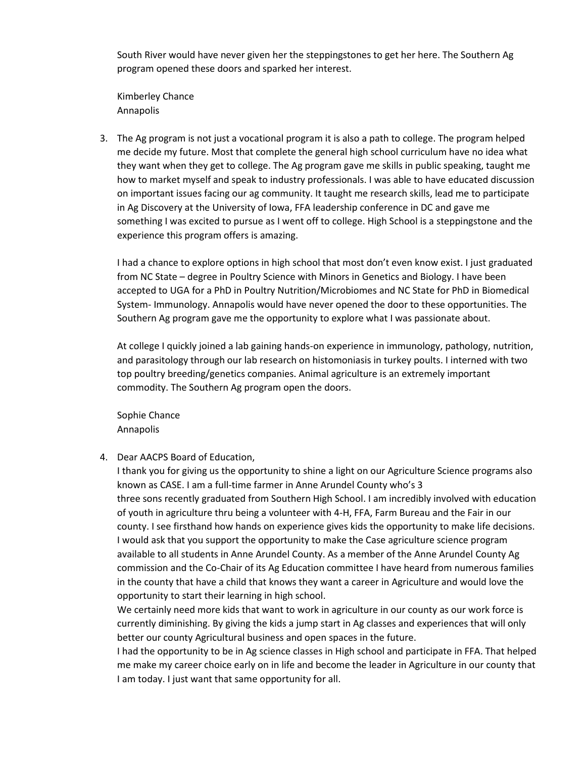South River would have never given her the steppingstones to get her here. The Southern Ag program opened these doors and sparked her interest.

Kimberley Chance Annapolis

3. The Ag program is not just a vocational program it is also a path to college. The program helped me decide my future. Most that complete the general high school curriculum have no idea what they want when they get to college. The Ag program gave me skills in public speaking, taught me how to market myself and speak to industry professionals. I was able to have educated discussion on important issues facing our ag community. It taught me research skills, lead me to participate in Ag Discovery at the University of Iowa, FFA leadership conference in DC and gave me something I was excited to pursue as I went off to college. High School is a steppingstone and the experience this program offers is amazing.

I had a chance to explore options in high school that most don't even know exist. I just graduated from NC State – degree in Poultry Science with Minors in Genetics and Biology. I have been accepted to UGA for a PhD in Poultry Nutrition/Microbiomes and NC State for PhD in Biomedical System- Immunology. Annapolis would have never opened the door to these opportunities. The Southern Ag program gave me the opportunity to explore what I was passionate about.

At college I quickly joined a lab gaining hands-on experience in immunology, pathology, nutrition, and parasitology through our lab research on histomoniasis in turkey poults. I interned with two top poultry breeding/genetics companies. Animal agriculture is an extremely important commodity. The Southern Ag program open the doors.

Sophie Chance Annapolis

4. Dear AACPS Board of Education,

I thank you for giving us the opportunity to shine a light on our Agriculture Science programs also known as CASE. I am a full-time farmer in Anne Arundel County who's 3 three sons recently graduated from Southern High School. I am incredibly involved with education of youth in agriculture thru being a volunteer with 4-H, FFA, Farm Bureau and the Fair in our county. I see firsthand how hands on experience gives kids the opportunity to make life decisions. I would ask that you support the opportunity to make the Case agriculture science program available to all students in Anne Arundel County. As a member of the Anne Arundel County Ag commission and the Co-Chair of its Ag Education committee I have heard from numerous families in the county that have a child that knows they want a career in Agriculture and would love the opportunity to start their learning in high school.

We certainly need more kids that want to work in agriculture in our county as our work force is currently diminishing. By giving the kids a jump start in Ag classes and experiences that will only better our county Agricultural business and open spaces in the future.

I had the opportunity to be in Ag science classes in High school and participate in FFA. That helped me make my career choice early on in life and become the leader in Agriculture in our county that I am today. I just want that same opportunity for all.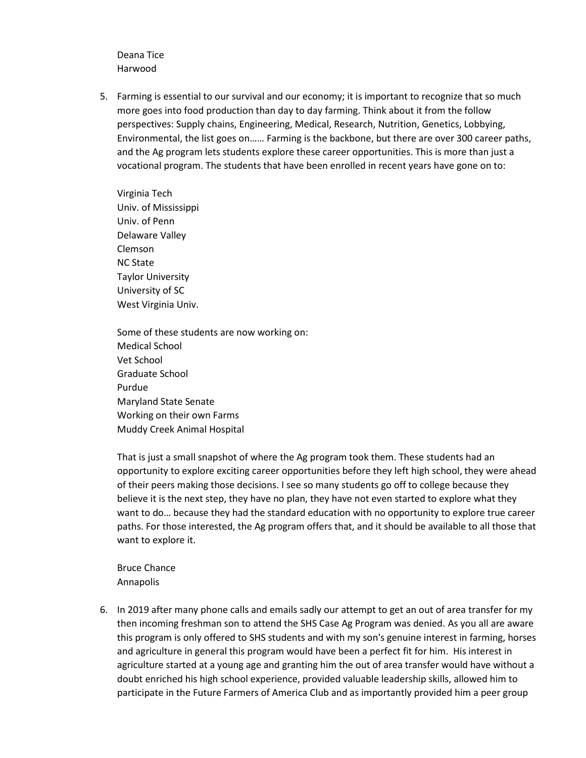Deana Tice Harwood

5. Farming is essential to our survival and our economy; it is important to recognize that so much more goes into food production than day to day farming. Think about it from the follow perspectives: Supply chains, Engineering, Medical, Research, Nutrition, Genetics, Lobbying, Environmental, the list goes on…… Farming is the backbone, but there are over 300 career paths, and the Ag program lets students explore these career opportunities. This is more than just a vocational program. The students that have been enrolled in recent years have gone on to:

Virginia Tech Univ. of Mississippi Univ. of Penn Delaware Valley Clemson NC State Taylor University University of SC West Virginia Univ.

Some of these students are now working on: Medical School Vet School Graduate School Purdue Maryland State Senate Working on their own Farms Muddy Creek Animal Hospital

That is just a small snapshot of where the Ag program took them. These students had an opportunity to explore exciting career opportunities before they left high school, they were ahead of their peers making those decisions. I see so many students go off to college because they believe it is the next step, they have no plan, they have not even started to explore what they want to do… because they had the standard education with no opportunity to explore true career paths. For those interested, the Ag program offers that, and it should be available to all those that want to explore it.

Bruce Chance Annapolis

6. In 2019 after many phone calls and emails sadly our attempt to get an out of area transfer for my then incoming freshman son to attend the SHS Case Ag Program was denied. As you all are aware this program is only offered to SHS students and with my son's genuine interest in farming, horses and agriculture in general this program would have been a perfect fit for him. His interest in agriculture started at a young age and granting him the out of area transfer would have without a doubt enriched his high school experience, provided valuable leadership skills, allowed him to participate in the Future Farmers of America Club and as importantly provided him a peer group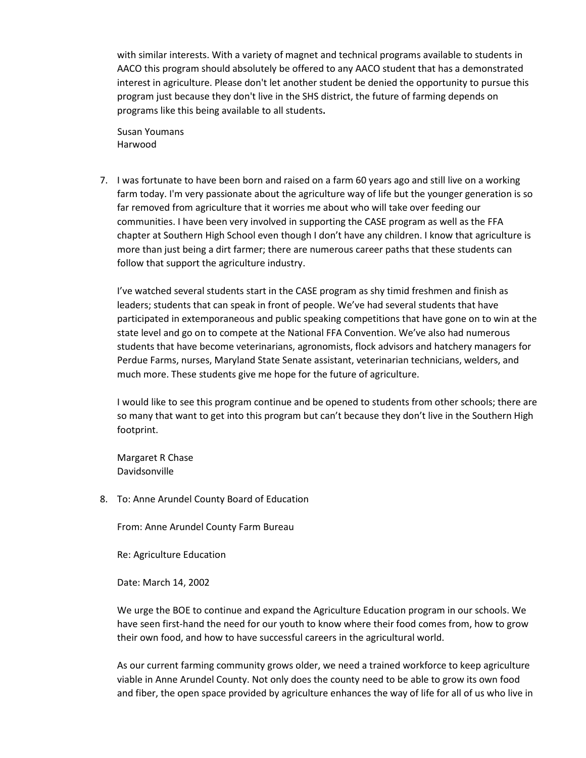with similar interests. With a variety of magnet and technical programs available to students in AACO this program should absolutely be offered to any AACO student that has a demonstrated interest in agriculture. Please don't let another student be denied the opportunity to pursue this program just because they don't live in the SHS district, the future of farming depends on programs like this being available to all students**.**

 Susan Youmans Harwood

7. I was fortunate to have been born and raised on a farm 60 years ago and still live on a working farm today. I'm very passionate about the agriculture way of life but the younger generation is so far removed from agriculture that it worries me about who will take over feeding our communities. I have been very involved in supporting the CASE program as well as the FFA chapter at Southern High School even though I don't have any children. I know that agriculture is more than just being a dirt farmer; there are numerous career paths that these students can follow that support the agriculture industry.

I've watched several students start in the CASE program as shy timid freshmen and finish as leaders; students that can speak in front of people. We've had several students that have participated in extemporaneous and public speaking competitions that have gone on to win at the state level and go on to compete at the National FFA Convention. We've also had numerous students that have become veterinarians, agronomists, flock advisors and hatchery managers for Perdue Farms, nurses, Maryland State Senate assistant, veterinarian technicians, welders, and much more. These students give me hope for the future of agriculture.

I would like to see this program continue and be opened to students from other schools; there are so many that want to get into this program but can't because they don't live in the Southern High footprint.

Margaret R Chase Davidsonville

8. To: Anne Arundel County Board of Education

From: Anne Arundel County Farm Bureau

Re: Agriculture Education

Date: March 14, 2002

We urge the BOE to continue and expand the Agriculture Education program in our schools. We have seen first-hand the need for our youth to know where their food comes from, how to grow their own food, and how to have successful careers in the agricultural world.

As our current farming community grows older, we need a trained workforce to keep agriculture viable in Anne Arundel County. Not only does the county need to be able to grow its own food and fiber, the open space provided by agriculture enhances the way of life for all of us who live in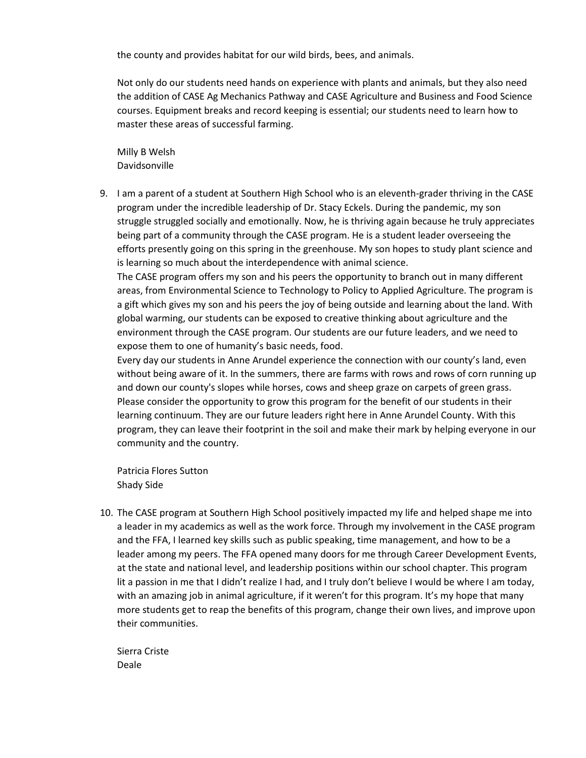the county and provides habitat for our wild birds, bees, and animals.

Not only do our students need hands on experience with plants and animals, but they also need the addition of CASE Ag Mechanics Pathway and CASE Agriculture and Business and Food Science courses. Equipment breaks and record keeping is essential; our students need to learn how to master these areas of successful farming.

Milly B Welsh Davidsonville

9. I am a parent of a student at Southern High School who is an eleventh-grader thriving in the CASE program under the incredible leadership of Dr. Stacy Eckels. During the pandemic, my son struggle struggled socially and emotionally. Now, he is thriving again because he truly appreciates being part of a community through the CASE program. He is a student leader overseeing the efforts presently going on this spring in the greenhouse. My son hopes to study plant science and is learning so much about the interdependence with animal science.

The CASE program offers my son and his peers the opportunity to branch out in many different areas, from Environmental Science to Technology to Policy to Applied Agriculture. The program is a gift which gives my son and his peers the joy of being outside and learning about the land. With global warming, our students can be exposed to creative thinking about agriculture and the environment through the CASE program. Our students are our future leaders, and we need to expose them to one of humanity's basic needs, food.

Every day our students in Anne Arundel experience the connection with our county's land, even without being aware of it. In the summers, there are farms with rows and rows of corn running up and down our county's slopes while horses, cows and sheep graze on carpets of green grass. Please consider the opportunity to grow this program for the benefit of our students in their learning continuum. They are our future leaders right here in Anne Arundel County. With this program, they can leave their footprint in the soil and make their mark by helping everyone in our community and the country.

Patricia Flores Sutton Shady Side

10. The CASE program at Southern High School positively impacted my life and helped shape me into a leader in my academics as well as the work force. Through my involvement in the CASE program and the FFA, I learned key skills such as public speaking, time management, and how to be a leader among my peers. The FFA opened many doors for me through Career Development Events, at the state and national level, and leadership positions within our school chapter. This program lit a passion in me that I didn't realize I had, and I truly don't believe I would be where I am today, with an amazing job in animal agriculture, if it weren't for this program. It's my hope that many more students get to reap the benefits of this program, change their own lives, and improve upon their communities.

Sierra Criste Deale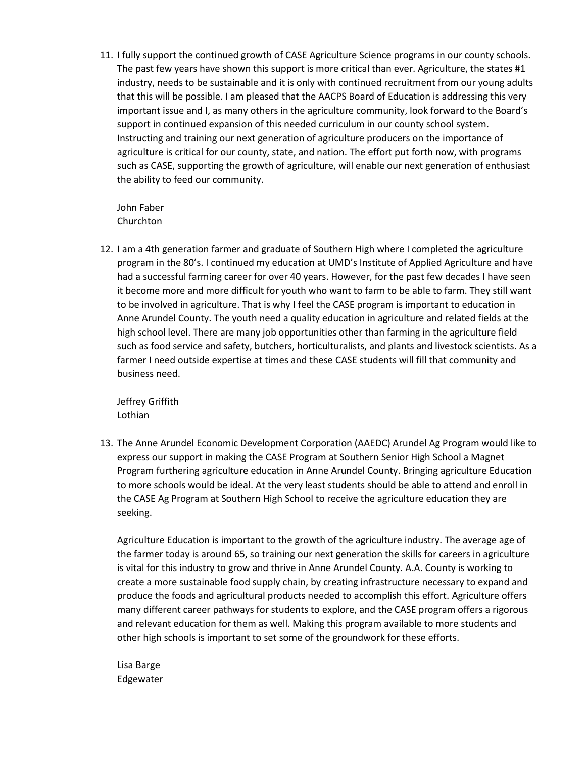11. I fully support the continued growth of CASE Agriculture Science programs in our county schools. The past few years have shown this support is more critical than ever. Agriculture, the states #1 industry, needs to be sustainable and it is only with continued recruitment from our young adults that this will be possible. I am pleased that the AACPS Board of Education is addressing this very important issue and I, as many others in the agriculture community, look forward to the Board's support in continued expansion of this needed curriculum in our county school system. Instructing and training our next generation of agriculture producers on the importance of agriculture is critical for our county, state, and nation. The effort put forth now, with programs such as CASE, supporting the growth of agriculture, will enable our next generation of enthusiast the ability to feed our community.

John Faber Churchton

12. I am a 4th generation farmer and graduate of Southern High where I completed the agriculture program in the 80's. I continued my education at UMD's Institute of Applied Agriculture and have had a successful farming career for over 40 years. However, for the past few decades I have seen it become more and more difficult for youth who want to farm to be able to farm. They still want to be involved in agriculture. That is why I feel the CASE program is important to education in Anne Arundel County. The youth need a quality education in agriculture and related fields at the high school level. There are many job opportunities other than farming in the agriculture field such as food service and safety, butchers, horticulturalists, and plants and livestock scientists. As a farmer I need outside expertise at times and these CASE students will fill that community and business need.

Jeffrey Griffith Lothian

13. The Anne Arundel Economic Development Corporation (AAEDC) Arundel Ag Program would like to express our support in making the CASE Program at Southern Senior High School a Magnet Program furthering agriculture education in Anne Arundel County. Bringing agriculture Education to more schools would be ideal. At the very least students should be able to attend and enroll in the CASE Ag Program at Southern High School to receive the agriculture education they are seeking.

Agriculture Education is important to the growth of the agriculture industry. The average age of the farmer today is around 65, so training our next generation the skills for careers in agriculture is vital for this industry to grow and thrive in Anne Arundel County. A.A. County is working to create a more sustainable food supply chain, by creating infrastructure necessary to expand and produce the foods and agricultural products needed to accomplish this effort. Agriculture offers many different career pathways for students to explore, and the CASE program offers a rigorous and relevant education for them as well. Making this program available to more students and other high schools is important to set some of the groundwork for these efforts.

Lisa Barge Edgewater